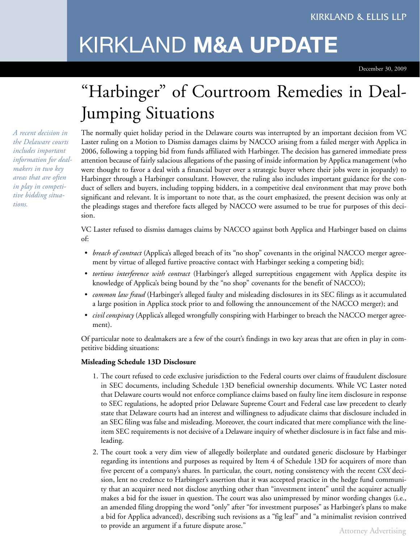# KIRKLAND **M&A UPDATE**

December 30, 2009

# "Harbinger" of Courtroom Remedies in Deal-Jumping Situations

The normally quiet holiday period in the Delaware courts was interrupted by an important decision from VC Laster ruling on a Motion to Dismiss damages claims by NACCO arising from a failed merger with Applica in 2006, following a topping bid from funds affiliated with Harbinger. The decision has garnered immediate press attention because of fairly salacious allegations of the passing of inside information by Applica management (who were thought to favor a deal with a financial buyer over a strategic buyer where their jobs were in jeopardy) to Harbinger through a Harbinger consultant. However, the ruling also includes important guidance for the conduct of sellers and buyers, including topping bidders, in a competitive deal environment that may prove both significant and relevant. It is important to note that, as the court emphasized, the present decision was only at the pleadings stages and therefore facts alleged by NACCO were assumed to be true for purposes of this decision.

VC Laster refused to dismiss damages claims by NACCO against both Applica and Harbinger based on claims of:

- *breach of contract* (Applica's alleged breach of its "no shop" covenants in the original NACCO merger agreement by virtue of alleged furtive proactive contact with Harbinger seeking a competing bid);
- *tortious interference with contract* (Harbinger's alleged surreptitious engagement with Applica despite its knowledge of Applica's being bound by the "no shop" covenants for the benefit of NACCO);
- *common law fraud* (Harbinger's alleged faulty and misleading disclosures in its SEC filings as it accumulated a large position in Applica stock prior to and following the announcement of the NACCO merger); and
- *civil conspiracy* (Applica's alleged wrongfully conspiring with Harbinger to breach the NACCO merger agreement).

Of particular note to dealmakers are a few of the court's findings in two key areas that are often in play in competitive bidding situations:

## **Misleading Schedule 13D Disclosure**

- 1. The court refused to cede exclusive jurisdiction to the Federal courts over claims of fraudulent disclosure in SEC documents, including Schedule 13D beneficial ownership documents. While VC Laster noted that Delaware courts would not enforce compliance claims based on faulty line item disclosure in response to SEC regulations, he adopted prior Delaware Supreme Court and Federal case law precedent to clearly state that Delaware courts had an interest and willingness to adjudicate claims that disclosure included in an SEC filing was false and misleading. Moreover, the court indicated that mere compliance with the lineitem SEC requirements is not decisive of a Delaware inquiry of whether disclosure is in fact false and misleading.
- 2. The court took a very dim view of allegedly boilerplate and outdated generic disclosure by Harbinger regarding its intentions and purposes as required by Item 4 of Schedule 13D for acquirers of more than five percent of a company's shares. In particular, the court, noting consistency with the recent *CSX* decision, lent no credence to Harbinger's assertion that it was accepted practice in the hedge fund community that an acquirer need not disclose anything other than "investment intent" until the acquirer actually makes a bid for the issuer in question. The court was also unimpressed by minor wording changes (i.e., an amended filing dropping the word "only" after "for investment purposes" as Harbinger's plans to make a bid for Applica advanced), describing such revisions as a "fig leaf" and "a minimalist revision contrived to provide an argument if a future dispute arose."

*A recent decision in the Delaware courts includes important information for dealmakers in two key areas that are often in play in competitive bidding situations.*